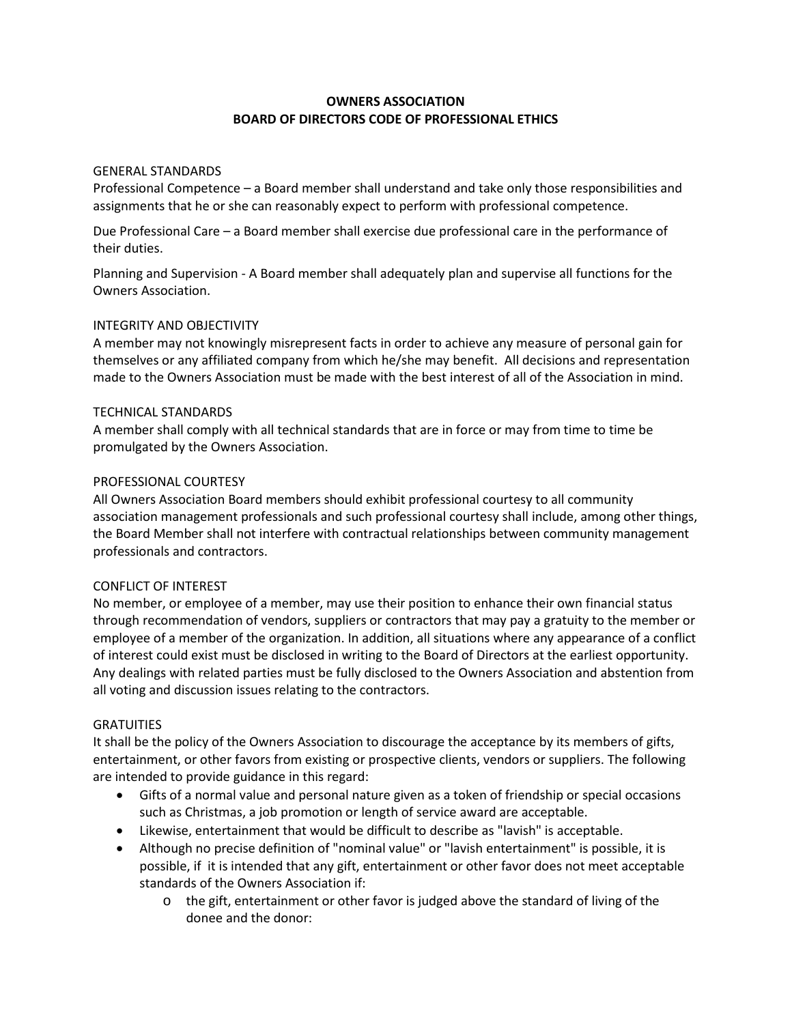# **OWNERS ASSOCIATION BOARD OF DIRECTORS CODE OF PROFESSIONAL ETHICS**

## GENERAL STANDARDS

Professional Competence – a Board member shall understand and take only those responsibilities and assignments that he or she can reasonably expect to perform with professional competence.

Due Professional Care – a Board member shall exercise due professional care in the performance of their duties.

Planning and Supervision - A Board member shall adequately plan and supervise all functions for the Owners Association.

## INTEGRITY AND OBJECTIVITY

A member may not knowingly misrepresent facts in order to achieve any measure of personal gain for themselves or any affiliated company from which he/she may benefit. All decisions and representation made to the Owners Association must be made with the best interest of all of the Association in mind.

## TECHNICAL STANDARDS

A member shall comply with all technical standards that are in force or may from time to time be promulgated by the Owners Association.

### PROFESSIONAL COURTESY

All Owners Association Board members should exhibit professional courtesy to all community association management professionals and such professional courtesy shall include, among other things, the Board Member shall not interfere with contractual relationships between community management professionals and contractors.

### CONFLICT OF INTEREST

No member, or employee of a member, may use their position to enhance their own financial status through recommendation of vendors, suppliers or contractors that may pay a gratuity to the member or employee of a member of the organization. In addition, all situations where any appearance of a conflict of interest could exist must be disclosed in writing to the Board of Directors at the earliest opportunity. Any dealings with related parties must be fully disclosed to the Owners Association and abstention from all voting and discussion issues relating to the contractors.

# **GRATUITIES**

It shall be the policy of the Owners Association to discourage the acceptance by its members of gifts, entertainment, or other favors from existing or prospective clients, vendors or suppliers. The following are intended to provide guidance in this regard:

- Gifts of a normal value and personal nature given as a token of friendship or special occasions such as Christmas, a job promotion or length of service award are acceptable.
- Likewise, entertainment that would be difficult to describe as "lavish" is acceptable.
- Although no precise definition of "nominal value" or "lavish entertainment" is possible, it is possible, if it is intended that any gift, entertainment or other favor does not meet acceptable standards of the Owners Association if:
	- o the gift, entertainment or other favor is judged above the standard of living of the donee and the donor: